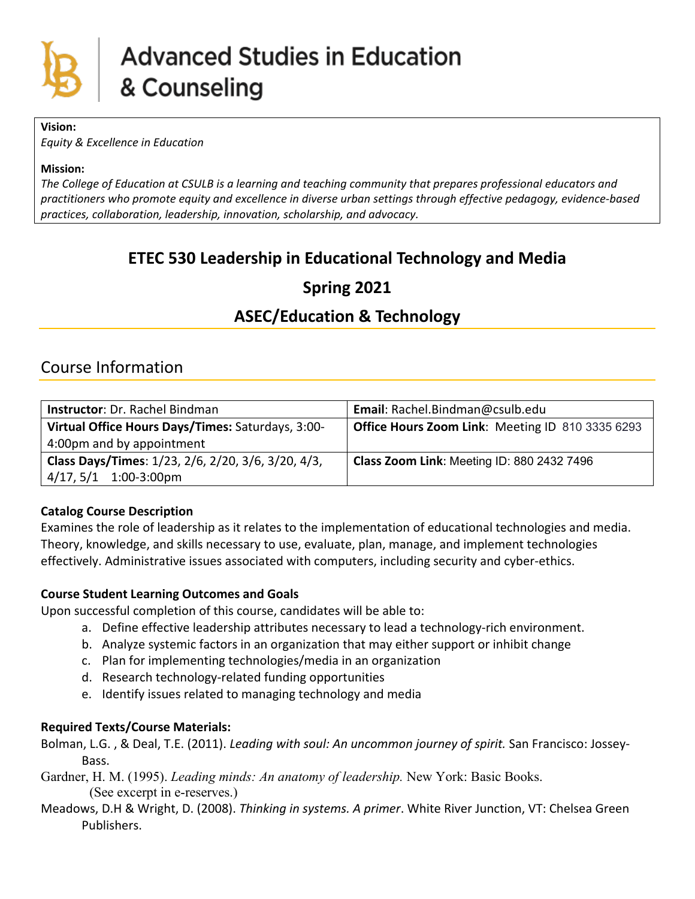

**Vision:**

*Equity & Excellence in Education*

#### **Mission:**

*The College of Education at CSULB is a learning and teaching community that prepares professional educators and practitioners who promote equity and excellence in diverse urban settings through effective pedagogy, evidence-based practices, collaboration, leadership, innovation, scholarship, and advocacy.*

# **ETEC 530 Leadership in Educational Technology and Media**

## **Spring 2021**

## **ASEC/Education & Technology**

## Course Information

| Instructor: Dr. Rachel Bindman                     | Email: Rachel.Bindman@csulb.edu                  |
|----------------------------------------------------|--------------------------------------------------|
| Virtual Office Hours Days/Times: Saturdays, 3:00-  | Office Hours Zoom Link: Meeting ID 810 3335 6293 |
| 4:00pm and by appointment                          |                                                  |
| Class Days/Times: 1/23, 2/6, 2/20, 3/6, 3/20, 4/3, | Class Zoom Link: Meeting ID: 880 2432 7496       |
| 4/17, 5/1 1:00-3:00pm                              |                                                  |

#### **Catalog Course Description**

Examines the role of leadership as it relates to the implementation of educational technologies and media. Theory, knowledge, and skills necessary to use, evaluate, plan, manage, and implement technologies effectively. Administrative issues associated with computers, including security and cyber-ethics.

#### **Course Student Learning Outcomes and Goals**

Upon successful completion of this course, candidates will be able to:

- a. Define effective leadership attributes necessary to lead a technology-rich environment.
- b. Analyze systemic factors in an organization that may either support or inhibit change
- c. Plan for implementing technologies/media in an organization
- d. Research technology-related funding opportunities
- e. Identify issues related to managing technology and media

#### **Required Texts/Course Materials:**

Bolman, L.G. , & Deal, T.E. (2011). *Leading with soul: An uncommon journey of spirit.* San Francisco: Jossey-Bass.

- Gardner, H. M. (1995). *Leading minds: An anatomy of leadership.* New York: Basic Books. (See excerpt in e-reserves.)
- Meadows, D.H & Wright, D. (2008). *Thinking in systems. A primer*. White River Junction, VT: Chelsea Green Publishers.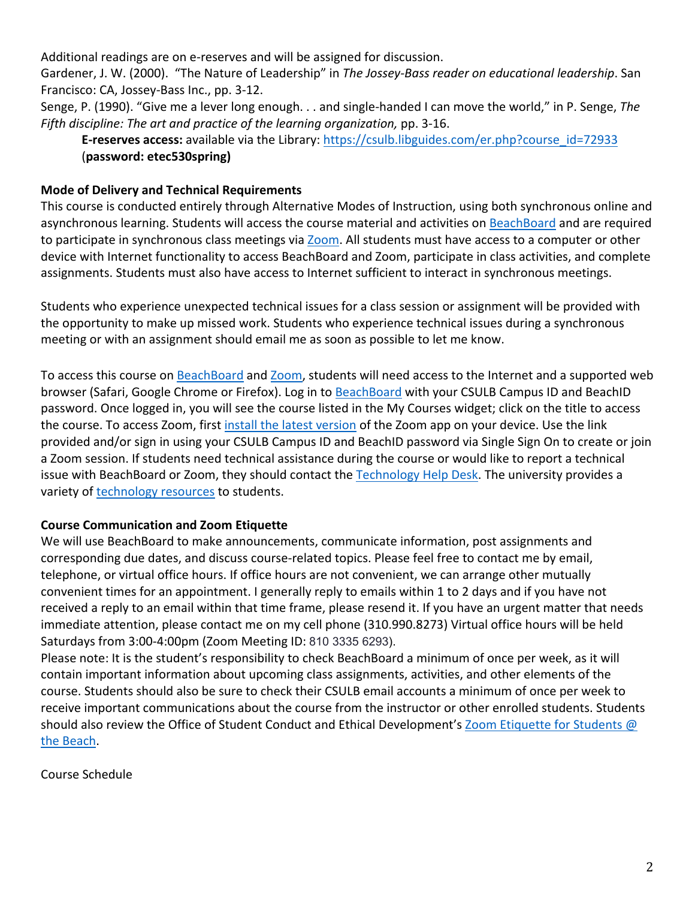Additional readings are on e-reserves and will be assigned for discussion.

Gardener, J. W. (2000). "The Nature of Leadership" in *The Jossey-Bass reader on educational leadership*. San Francisco: CA, Jossey-Bass Inc., pp. 3-12.

Senge, P. (1990). "Give me a lever long enough. . . and single-handed I can move the world," in P. Senge, *The Fifth discipline: The art and practice of the learning organization,* pp. 3-16.

**E-reserves access:** available via the Library: [https://csulb.libguides.com/er.php?course\\_id=72933](about:blank) (**password: etec530spring)**

### **Mode of Delivery and Technical Requirements**

This course is conducted entirely through Alternative Modes of Instruction, using both synchronous online and asynchronous learning. Students will access the course material and activities on [BeachBoard](about:blank) and are required to participate in synchronous class meetings via [Zoom.](about:blank) All students must have access to a computer or other device with Internet functionality to access BeachBoard and Zoom, participate in class activities, and complete assignments. Students must also have access to Internet sufficient to interact in synchronous meetings.

Students who experience unexpected technical issues for a class session or assignment will be provided with the opportunity to make up missed work. Students who experience technical issues during a synchronous meeting or with an assignment should email me as soon as possible to let me know.

To access this course on [BeachBoard](about:blank) and [Zoom,](about:blank) students will need access to the Internet and a supported web browser (Safari, Google Chrome or Firefox). Log in to [BeachBoard](about:blank) with your CSULB Campus ID and BeachID password. Once logged in, you will see the course listed in the My Courses widget; click on the title to access the course. To access Zoom, first [install the latest version](about:blank) of the Zoom app on your device. Use the link provided and/or sign in using your CSULB Campus ID and BeachID password via Single Sign On to create or join a Zoom session. If students need technical assistance during the course or would like to report a technical issue with BeachBoard or Zoom, they should contact the [Technology Help Desk.](about:blank) The university provides a variety of **technology** resources to students.

#### **Course Communication and Zoom Etiquette**

We will use BeachBoard to make announcements, communicate information, post assignments and corresponding due dates, and discuss course-related topics. Please feel free to contact me by email, telephone, or virtual office hours. If office hours are not convenient, we can arrange other mutually convenient times for an appointment. I generally reply to emails within 1 to 2 days and if you have not received a reply to an email within that time frame, please resend it. If you have an urgent matter that needs immediate attention, please contact me on my cell phone (310.990.8273) Virtual office hours will be held Saturdays from 3:00-4:00pm (Zoom Meeting ID: 810 3335 6293).

Please note: It is the student's responsibility to check BeachBoard a minimum of once per week, as it will contain important information about upcoming class assignments, activities, and other elements of the course. Students should also be sure to check their CSULB email accounts a minimum of once per week to receive important communications about the course from the instructor or other enrolled students. Students should also review the Office of Student Conduct and Ethical Development's Zoom Etiquette for Students @ [the Beach.](about:blank)

Course Schedule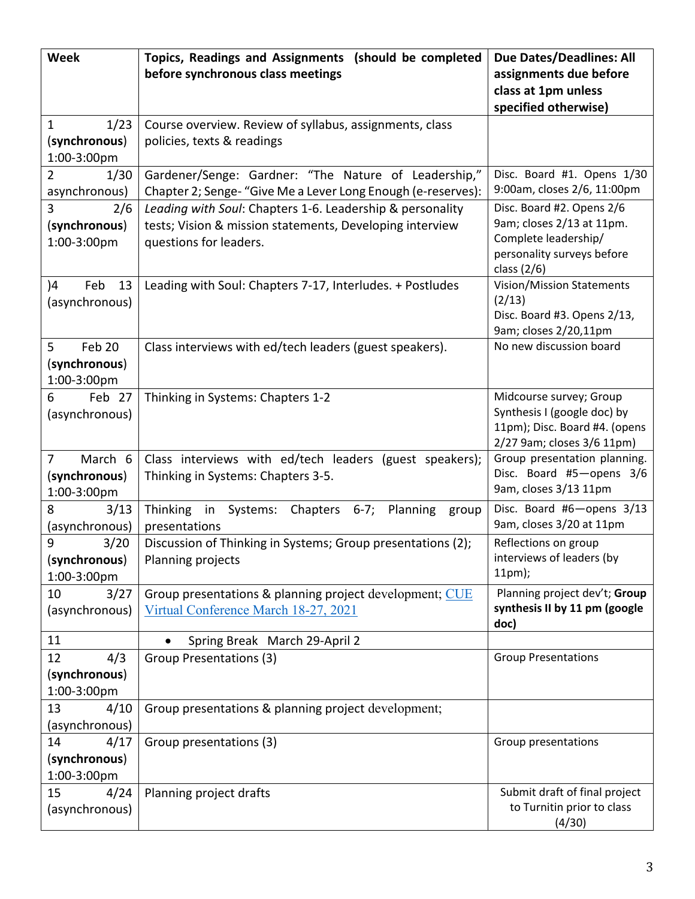| <b>Week</b>            | Topics, Readings and Assignments (should be completed                        | <b>Due Dates/Deadlines: All</b>                                |  |
|------------------------|------------------------------------------------------------------------------|----------------------------------------------------------------|--|
|                        | before synchronous class meetings                                            | assignments due before                                         |  |
|                        |                                                                              | class at 1pm unless                                            |  |
|                        |                                                                              | specified otherwise)                                           |  |
| 1/23<br>1              | Course overview. Review of syllabus, assignments, class                      |                                                                |  |
| (synchronous)          | policies, texts & readings                                                   |                                                                |  |
| 1:00-3:00pm            |                                                                              |                                                                |  |
| $\overline{2}$<br>1/30 | Gardener/Senge: Gardner: "The Nature of Leadership,"                         | Disc. Board #1. Opens 1/30                                     |  |
| asynchronous)          | Chapter 2; Senge- "Give Me a Lever Long Enough (e-reserves):                 | 9:00am, closes 2/6, 11:00pm                                    |  |
| $\overline{3}$<br>2/6  | Leading with Soul: Chapters 1-6. Leadership & personality                    | Disc. Board #2. Opens 2/6                                      |  |
| (synchronous)          | tests; Vision & mission statements, Developing interview                     | 9am; closes 2/13 at 11pm.<br>Complete leadership/              |  |
| 1:00-3:00pm            | questions for leaders.                                                       |                                                                |  |
|                        |                                                                              | personality surveys before                                     |  |
| 13<br>Feb              |                                                                              | class $(2/6)$                                                  |  |
| )4<br>(asynchronous)   | Leading with Soul: Chapters 7-17, Interludes. + Postludes                    | Vision/Mission Statements<br>(2/13)                            |  |
|                        |                                                                              | Disc. Board #3. Opens 2/13,                                    |  |
|                        |                                                                              | 9am; closes 2/20,11pm                                          |  |
| 5<br>Feb 20            | Class interviews with ed/tech leaders (guest speakers).                      | No new discussion board                                        |  |
| (synchronous)          |                                                                              |                                                                |  |
| 1:00-3:00pm            |                                                                              |                                                                |  |
| Feb 27<br>6            | Thinking in Systems: Chapters 1-2                                            | Midcourse survey; Group                                        |  |
| (asynchronous)         |                                                                              | Synthesis I (google doc) by                                    |  |
|                        |                                                                              | 11pm); Disc. Board #4. (opens                                  |  |
|                        |                                                                              | 2/27 9am; closes 3/6 11pm)                                     |  |
| March 6<br>7           | Class interviews with ed/tech leaders (guest speakers);                      | Group presentation planning.                                   |  |
| (synchronous)          | Thinking in Systems: Chapters 3-5.                                           | Disc. Board #5-opens 3/6                                       |  |
| 1:00-3:00pm            |                                                                              | 9am, closes 3/13 11pm                                          |  |
| 3/13<br>8              | Systems:<br>Chapters<br>Planning<br><b>Thinking</b><br>in<br>$6-7;$<br>group | Disc. Board #6-opens 3/13                                      |  |
| (asynchronous)         | presentations                                                                | 9am, closes 3/20 at 11pm                                       |  |
| 9<br>3/20              | Discussion of Thinking in Systems; Group presentations (2);                  | Reflections on group                                           |  |
| (synchronous)          | Planning projects                                                            | interviews of leaders (by<br>11pm);                            |  |
| 1:00-3:00pm            |                                                                              |                                                                |  |
| 10<br>3/27             | Group presentations & planning project development; CUE                      | Planning project dev't; Group<br>synthesis II by 11 pm (google |  |
| (asynchronous)         | Virtual Conference March 18-27, 2021                                         | doc)                                                           |  |
| 11                     | Spring Break March 29-April 2                                                |                                                                |  |
| 12<br>4/3              | Group Presentations (3)                                                      | <b>Group Presentations</b>                                     |  |
| (synchronous)          |                                                                              |                                                                |  |
| 1:00-3:00pm            |                                                                              |                                                                |  |
| 13<br>4/10             | Group presentations & planning project development;                          |                                                                |  |
| (asynchronous)         |                                                                              |                                                                |  |
| 14<br>4/17             | Group presentations (3)                                                      | Group presentations                                            |  |
| (synchronous)          |                                                                              |                                                                |  |
| 1:00-3:00pm            |                                                                              |                                                                |  |
| 15<br>4/24             | Planning project drafts                                                      | Submit draft of final project                                  |  |
| (asynchronous)         |                                                                              | to Turnitin prior to class                                     |  |
|                        |                                                                              | (4/30)                                                         |  |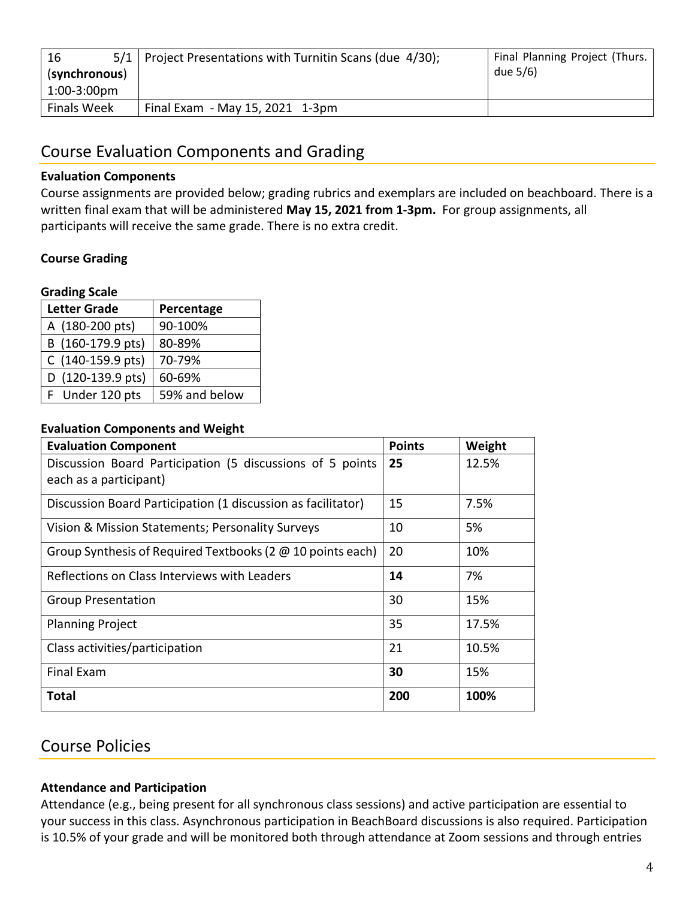| 5/1<br>16      | Project Presentations with Turnitin Scans (due 4/30); | Final Planning Project (Thurs. |
|----------------|-------------------------------------------------------|--------------------------------|
| (synchronous)  |                                                       | due 5/6)                       |
| $1:00-3:00$ pm |                                                       |                                |
| Finals Week    | Final Exam - May 15, 2021 1-3pm                       |                                |

## Course Evaluation Components and Grading

#### **Evaluation Components**

Course assignments are provided below; grading rubrics and exemplars are included on beachboard. There is a written final exam that will be administered **May 15, 2021 from 1-3pm.** For group assignments, all participants will receive the same grade. There is no extra credit.

#### **Course Grading**

#### **Grading Scale**

| <b>Letter Grade</b><br>Percentage |               |
|-----------------------------------|---------------|
| A (180-200 pts)                   | 90-100%       |
| B (160-179.9 pts)                 | 80-89%        |
| C (140-159.9 pts)                 | 70-79%        |
| D (120-139.9 pts)                 | 60-69%        |
| F Under 120 pts                   | 59% and below |

#### **Evaluation Components and Weight**

| <b>Evaluation Component</b>                                  | <b>Points</b> | Weight |
|--------------------------------------------------------------|---------------|--------|
| Discussion Board Participation (5 discussions of 5 points    | 25            | 12.5%  |
| each as a participant)                                       |               |        |
| Discussion Board Participation (1 discussion as facilitator) | 15            | 7.5%   |
| Vision & Mission Statements; Personality Surveys             | 10            | 5%     |
| Group Synthesis of Required Textbooks (2 @ 10 points each)   | 20            | 10%    |
| Reflections on Class Interviews with Leaders                 | 14            | 7%     |
| <b>Group Presentation</b>                                    | 30            | 15%    |
| <b>Planning Project</b>                                      | 35            | 17.5%  |
| Class activities/participation                               | 21            | 10.5%  |
| <b>Final Exam</b>                                            | 30            | 15%    |
| <b>Total</b>                                                 | 200           | 100%   |

## Course Policies

#### **Attendance and Participation**

Attendance (e.g., being present for all synchronous class sessions) and active participation are essential to your success in this class. Asynchronous participation in BeachBoard discussions is also required. Participation is 10.5% of your grade and will be monitored both through attendance at Zoom sessions and through entries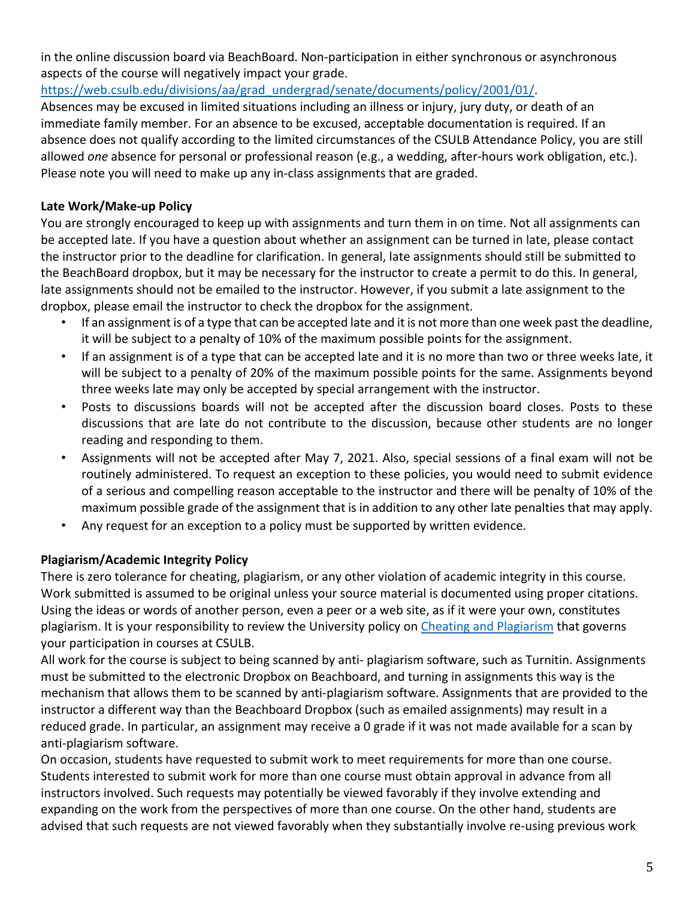in the online discussion board via BeachBoard. Non-participation in either synchronous or asynchronous aspects of the course will negatively impact your grade.

https://web.csulb.edu/divisions/aa/grad\_undergrad/senate/documents/policy/2001/01/.

Absences may be excused in limited situations including an illness or injury, jury duty, or death of an immediate family member. For an absence to be excused, acceptable documentation is required. If an absence does not qualify according to the limited circumstances of the CSULB Attendance Policy, you are still allowed *one* absence for personal or professional reason (e.g., a wedding, after-hours work obligation, etc.). Please note you will need to make up any in-class assignments that are graded.

## **Late Work/Make-up Policy**

You are strongly encouraged to keep up with assignments and turn them in on time. Not all assignments can be accepted late. If you have a question about whether an assignment can be turned in late, please contact the instructor prior to the deadline for clarification. In general, late assignments should still be submitted to the BeachBoard dropbox, but it may be necessary for the instructor to create a permit to do this. In general, late assignments should not be emailed to the instructor. However, if you submit a late assignment to the dropbox, please email the instructor to check the dropbox for the assignment.

- If an assignment is of a type that can be accepted late and it is not more than one week past the deadline, it will be subject to a penalty of 10% of the maximum possible points for the assignment.
- If an assignment is of a type that can be accepted late and it is no more than two or three weeks late, it will be subject to a penalty of 20% of the maximum possible points for the same. Assignments beyond three weeks late may only be accepted by special arrangement with the instructor.
- Posts to discussions boards will not be accepted after the discussion board closes. Posts to these discussions that are late do not contribute to the discussion, because other students are no longer reading and responding to them.
- Assignments will not be accepted after May 7, 2021. Also, special sessions of a final exam will not be routinely administered. To request an exception to these policies, you would need to submit evidence of a serious and compelling reason acceptable to the instructor and there will be penalty of 10% of the maximum possible grade of the assignment that is in addition to any other late penalties that may apply.
- Any request for an exception to a policy must be supported by written evidence.

## **Plagiarism/Academic Integrity Policy**

There is zero tolerance for cheating, plagiarism, or any other violation of academic integrity in this course. Work submitted is assumed to be original unless your source material is documented using proper citations. Using the ideas or words of another person, even a peer or a web site, as if it were your own, constitutes plagiarism. It is your responsibility to review the University policy on [Cheating and Plagiarism](about:blank#cheating-and-plagiarism) that governs your participation in courses at CSULB.

All work for the course is subject to being scanned by anti- plagiarism software, such as Turnitin. Assignments must be submitted to the electronic Dropbox on Beachboard, and turning in assignments this way is the mechanism that allows them to be scanned by anti-plagiarism software. Assignments that are provided to the instructor a different way than the Beachboard Dropbox (such as emailed assignments) may result in a reduced grade. In particular, an assignment may receive a 0 grade if it was not made available for a scan by anti-plagiarism software.

On occasion, students have requested to submit work to meet requirements for more than one course. Students interested to submit work for more than one course must obtain approval in advance from all instructors involved. Such requests may potentially be viewed favorably if they involve extending and expanding on the work from the perspectives of more than one course. On the other hand, students are advised that such requests are not viewed favorably when they substantially involve re-using previous work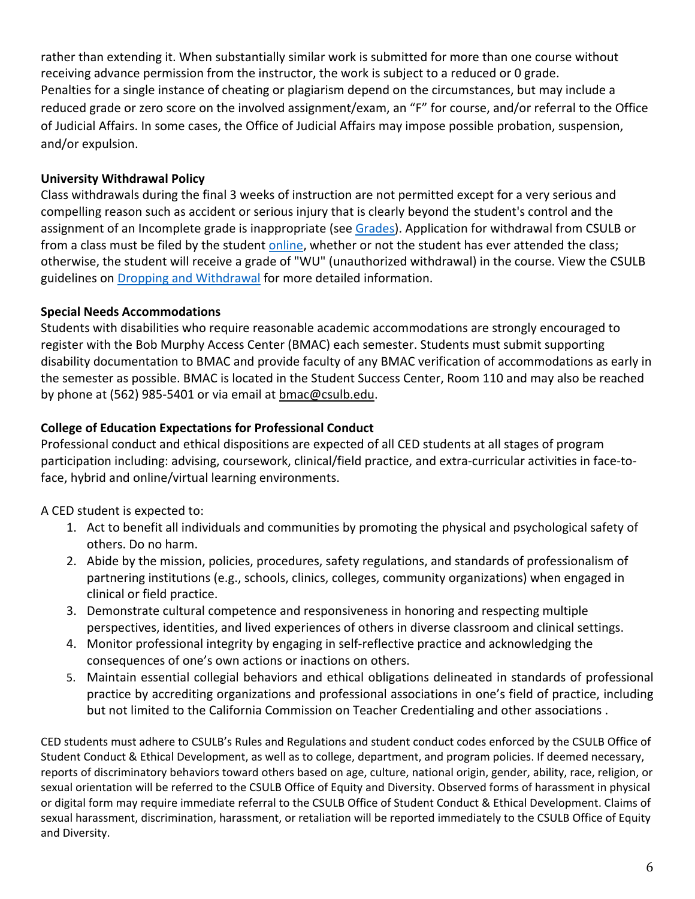rather than extending it. When substantially similar work is submitted for more than one course without receiving advance permission from the instructor, the work is subject to a reduced or 0 grade. Penalties for a single instance of cheating or plagiarism depend on the circumstances, but may include a reduced grade or zero score on the involved assignment/exam, an "F" for course, and/or referral to the Office of Judicial Affairs. In some cases, the Office of Judicial Affairs may impose possible probation, suspension, and/or expulsion.

### **University Withdrawal Policy**

Class withdrawals during the final 3 weeks of instruction are not permitted except for a very serious and compelling reason such as accident or serious injury that is clearly beyond the student's control and the assignment of an Incomplete grade is inappropriate (see [Grades\)](about:blank). Application for withdrawal from CSULB or from a class must be filed by the student [online,](about:blank) whether or not the student has ever attended the class; otherwise, the student will receive a grade of "WU" (unauthorized withdrawal) in the course. View the CSULB guidelines on **Dropping and Withdrawal for more detailed information.** 

### **Special Needs Accommodations**

Students with disabilities who require reasonable academic accommodations are strongly encouraged to register with the Bob Murphy Access Center (BMAC) each semester. Students must submit supporting disability documentation to BMAC and provide faculty of any BMAC verification of accommodations as early in the semester as possible. BMAC is located in the Student Success Center, Room 110 and may also be reached by phone at (562) 985-5401 or via email at [bmac@csulb.edu.](about:blank)

## **College of Education Expectations for Professional Conduct**

Professional conduct and ethical dispositions are expected of all CED students at all stages of program participation including: advising, coursework, clinical/field practice, and extra-curricular activities in face-toface, hybrid and online/virtual learning environments.

A CED student is expected to:

- 1. Act to benefit all individuals and communities by promoting the physical and psychological safety of others. Do no harm.
- 2. Abide by the mission, policies, procedures, safety regulations, and standards of professionalism of partnering institutions (e.g., schools, clinics, colleges, community organizations) when engaged in clinical or field practice.
- 3. Demonstrate cultural competence and responsiveness in honoring and respecting multiple perspectives, identities, and lived experiences of others in diverse classroom and clinical settings.
- 4. Monitor professional integrity by engaging in self-reflective practice and acknowledging the consequences of one's own actions or inactions on others.
- 5. Maintain essential collegial behaviors and ethical obligations delineated in standards of professional practice by accrediting organizations and professional associations in one's field of practice, including but not limited to the California Commission on Teacher Credentialing and other associations .

CED students must adhere to CSULB's Rules and Regulations and student conduct codes enforced by the CSULB Office of Student Conduct & Ethical Development, as well as to college, department, and program policies. If deemed necessary, reports of discriminatory behaviors toward others based on age, culture, national origin, gender, ability, race, religion, or sexual orientation will be referred to the CSULB Office of Equity and Diversity. Observed forms of harassment in physical or digital form may require immediate referral to the CSULB Office of Student Conduct & Ethical Development. Claims of sexual harassment, discrimination, harassment, or retaliation will be reported immediately to the CSULB Office of Equity and Diversity.